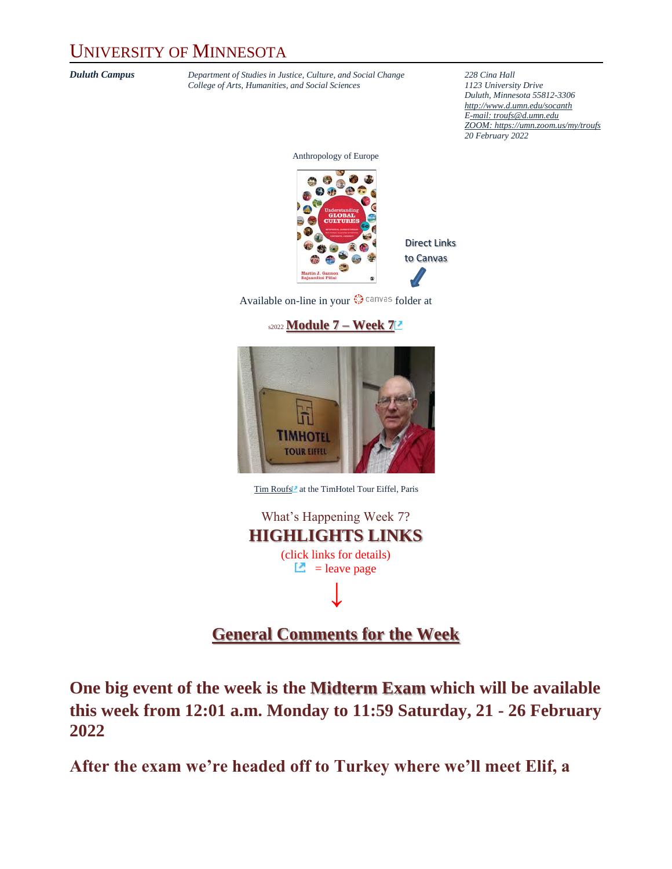### UNIVERSITY OF MINNESOTA

*Duluth Campus Department of Studies in Justice, Culture, and Social Change* **228** *Cina Hall College of Arts, Humanities, and Social Sciences 2123 University Drive College of Arts, Humanities, and Social Sciences 1123 University Drive*

*Duluth, Minnesota 55812-3306 <http://www.d.umn.edu/socanth> E-mail: [troufs@d.umn.edu](mailto:troufs@d.umn.edu) ZOOM[: https://umn.zoom.us/my/troufs](https://umn.zoom.us/my/troufs) 20 February 2022*

Anthropology of Europe



Available on-line in your  $\bigcirc$  canvas folder at





[Tim Roufs](http://www.d.umn.edu/~troufs/#title)<sup>2</sup> at the TimHotel Tour Eiffel, Paris

What's Happening Week 7? **HIGHLIGHTS LINKS** (click links for details)  $\Box$  = leave page **↓**

### **[General Comments for the Week](#page-4-0)**

**One big event of the week is the Midterm Exam which will be available this week from 12:01 a.m. Monday to 11:59 Saturday, 21 - 26 February 2022**

**After the exam we're headed off to Turkey where we'll meet Elif, a**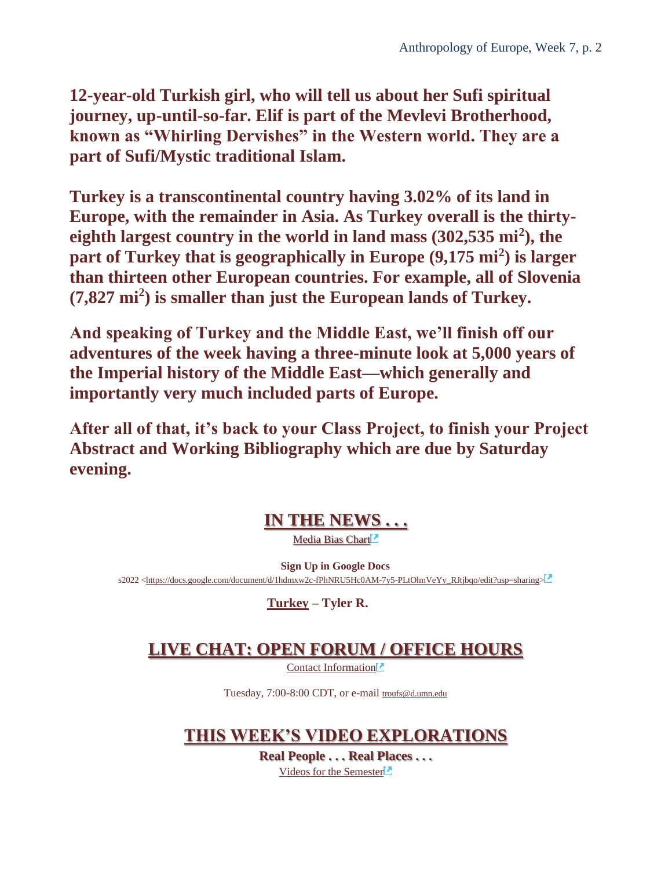**12-year-old Turkish girl, who will tell us about her Sufi spiritual journey, up-until-so-far. Elif is part of the Mevlevi Brotherhood, known as "Whirling Dervishes" in the Western world. They are a part of Sufi/Mystic traditional Islam.**

**Turkey is a transcontinental country having 3.02% of its land in Europe, with the remainder in Asia. As Turkey overall is the thirtyeighth largest country in the world in land mass (302,535 mi<sup>2</sup> ), the part of Turkey that is geographically in Europe (9,175 mi<sup>2</sup> ) is larger than thirteen other European countries. For example, all of Slovenia (7,827 mi<sup>2</sup> ) is smaller than just the European lands of Turkey.**

**And speaking of Turkey and the Middle East, we'll finish off our adventures of the week having a three-minute look at 5,000 years of the Imperial history of the Middle East—which generally and importantly very much included parts of Europe.**

**After all of that, it's back to your Class Project, to finish your Project Abstract and Working Bibliography which are due by Saturday evening.**

### **[IN THE NEWS . . .](#page-5-0)**

Media Bias Chart<sup>1</sup>

**Sign Up in Google Docs** s2022 [<https://docs.google.com/document/d/1hdmxw2c-fPhNRU5Hc0AM-7y5-PLtOlmVeYy\\_RJtjbqo/edit?usp=sharing>](https://docs.google.com/document/d/1hdmxw2c-fPhNRU5Hc0AM-7y5-PLtOlmVeYy_RJtjbqo/edit?usp=sharing)

**[Turkey](https://www.d.umn.edu/cla/faculty/troufs/anth1095/Turkey.html#project_sources) – Tyler R.**

### **[LIVE CHAT: OPEN FORUM / OFFICE HOURS](#page-5-1)**

[Contact Information](http://www.d.umn.edu/cla/faculty/troufs/anth1602/pcoffice.html#title)<sup>1</sup>

Tuesday, 7:00-8:00 CDT, or e-mail [troufs@d.umn.edu](mailto:troufs@d.umn.edu)

**[THIS WEEK'S VIDEO EXPLORATIONS](#page-6-0)**

**Real People . . . Real Places . . .** [Videos for the Semester](https://www.d.umn.edu/cla/faculty/troufs/anth3635/cevideo_schedule.html#title)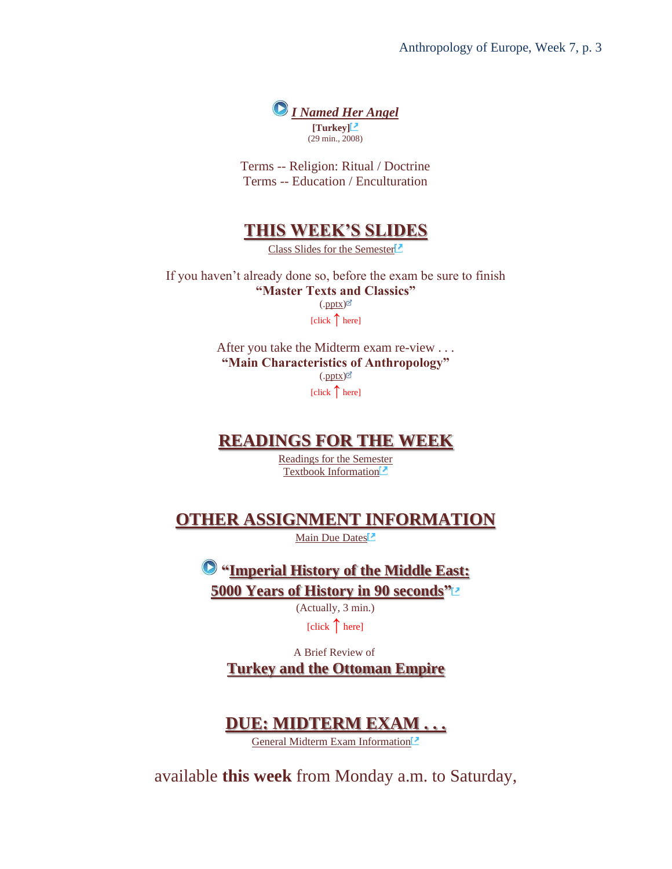

Terms -- Religion: Ritual / Doctrine Terms -- Education / Enculturation

#### **[THIS WEEK'S SLIDES](#page-7-0)**

[Class Slides for the Semester](https://www.d.umn.edu/cla/faculty/troufs/anth3635/ceslides.html#title)<sup>[2]</sup>

If you haven't already done so, before the exam be sure to finish **"Master Texts and Classics"**  $(\text{.pptx})$ [click ↑ here]

> After you take the Midterm exam re-view . . . **"Main Characteristics of Anthropology"**  $(\text{.pptX})^{\odot}$ [click ↑ here]

#### **[READINGS FOR THE WEEK](#page-8-0)**

[Readings for the Semester](https://www.d.umn.edu/cla/faculty/troufs/anth3635/ceread-s.html#title) [Textbook Information](https://www.d.umn.edu/cla/faculty/troufs/anth3635/cetexts.html#title)<sup>1</sup>

**[OTHER ASSIGNMENT INFORMATION](#page-9-0)**

[Main Due Dates](https://www.d.umn.edu/cla/faculty/troufs/anth3635/cedue-dates.html#title)<sup>1</sup>

**["Imperial History of the Middle East:](https://www.youtube.com/watch?v=2iVXPqnoC_A) [5000 Years of History in 90 seconds"](https://www.youtube.com/watch?v=2iVXPqnoC_A)**

(Actually, 3 min.)

[click **↑** here]

A Brief Review of

**[Turkey and the Ottoman Empire](#page-9-1)**

### **[DUE: MIDTERM EXAM . . .](#page-11-0)**

[General Midterm Exam Information](https://www.d.umn.edu/cla/faculty/troufs/anth3635/ceexams_midterm.html#title)

available **this week** from Monday a.m. to Saturday,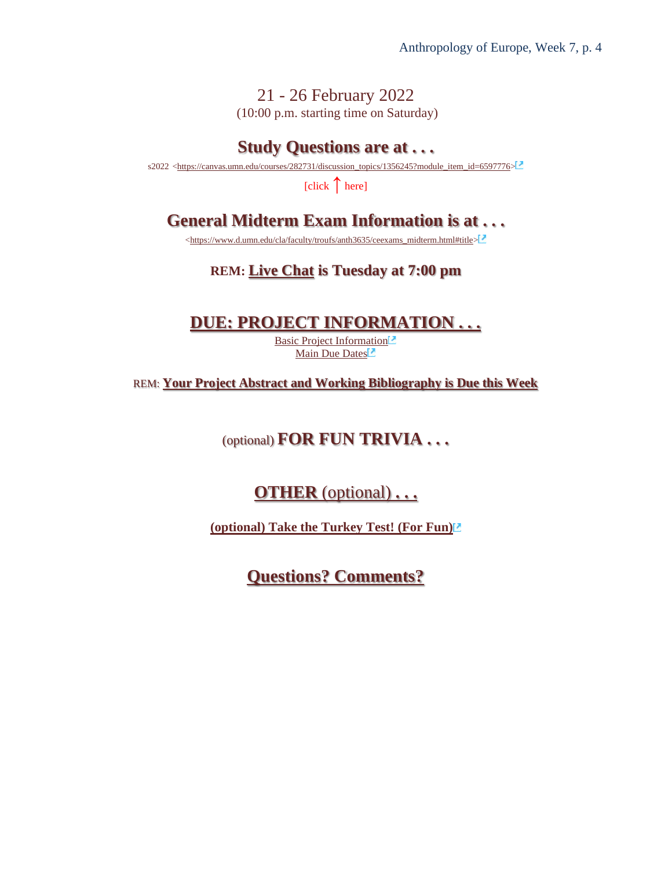21 - 26 February 2022 (10:00 p.m. starting time on Saturday)

#### **Study Questions are at . . .**

s2022 [<https://canvas.umn.edu/courses/282731/discussion\\_topics/1356245?module\\_item\\_id=6597776>](https://canvas.umn.edu/courses/282731/discussion_topics/1356245?module_item_id=6597776)

[click **↑** here]

### **General Midterm Exam Information is at . . .**

[<https://www.d.umn.edu/cla/faculty/troufs/anth3635/ceexams\\_midterm.html#title>](https://www.d.umn.edu/cla/faculty/troufs/anth3635/ceexams_midterm.html#title)

#### **REM: [Live Chat](#page-5-1) is Tuesday at 7:00 pm**

#### **[DUE: PROJECT INFORMATION . . .](#page-12-0)**

[Basic Project Information](https://www.d.umn.edu/cla/faculty/troufs/anth3635/ceproject.html#title)<sup>[2]</sup> [Main Due Dates](https://www.d.umn.edu/cla/faculty/troufs/anth3635/cedue-dates.html#title)<sup>1</sup>

REM: **Your Project Abstract and Working Bibliography is Due this Week**

(optional) **FOR FUN TRIVIA . . .**

**OTHER** [\(optional\)](#page-14-0) **. . .**

**[\(optional\) Take the Turkey Test! \(For Fun\)](https://canvas.umn.edu/courses/282731/modules/items/6597853)**

**[Questions? Comments?](#page-14-1)**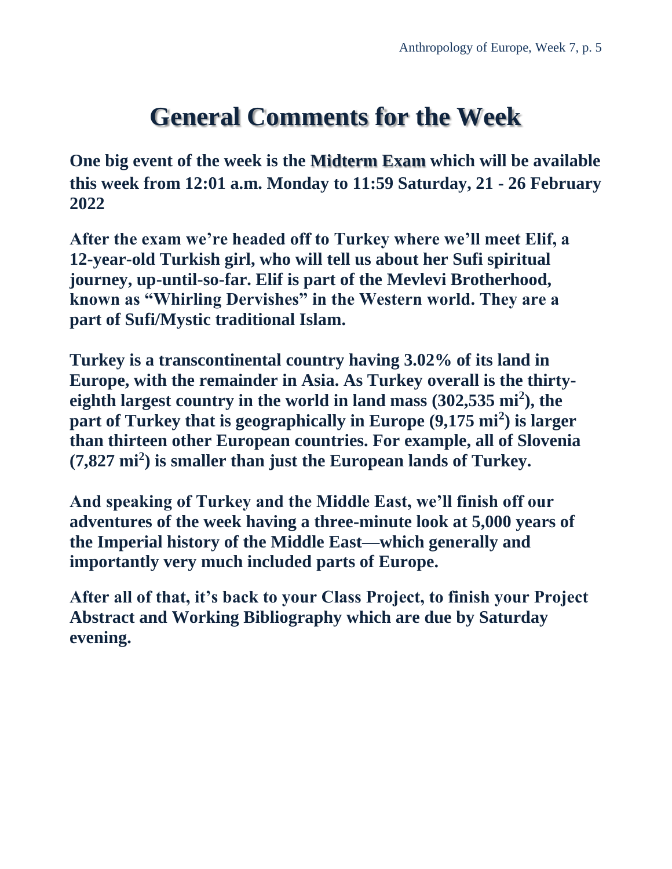## **General Comments for the Week**

<span id="page-4-0"></span>**One big event of the week is the Midterm Exam which will be available this week from 12:01 a.m. Monday to 11:59 Saturday, 21 - 26 February 2022**

**After the exam we're headed off to Turkey where we'll meet Elif, a 12-year-old Turkish girl, who will tell us about her Sufi spiritual journey, up-until-so-far. Elif is part of the Mevlevi Brotherhood, known as "Whirling Dervishes" in the Western world. They are a part of Sufi/Mystic traditional Islam.**

**Turkey is a transcontinental country having 3.02% of its land in Europe, with the remainder in Asia. As Turkey overall is the thirtyeighth largest country in the world in land mass (302,535 mi<sup>2</sup> ), the part of Turkey that is geographically in Europe (9,175 mi<sup>2</sup> ) is larger than thirteen other European countries. For example, all of Slovenia (7,827 mi<sup>2</sup> ) is smaller than just the European lands of Turkey.**

**And speaking of Turkey and the Middle East, we'll finish off our adventures of the week having a three-minute look at 5,000 years of the Imperial history of the Middle East—which generally and importantly very much included parts of Europe.**

**After all of that, it's back to your Class Project, to finish your Project Abstract and Working Bibliography which are due by Saturday evening.**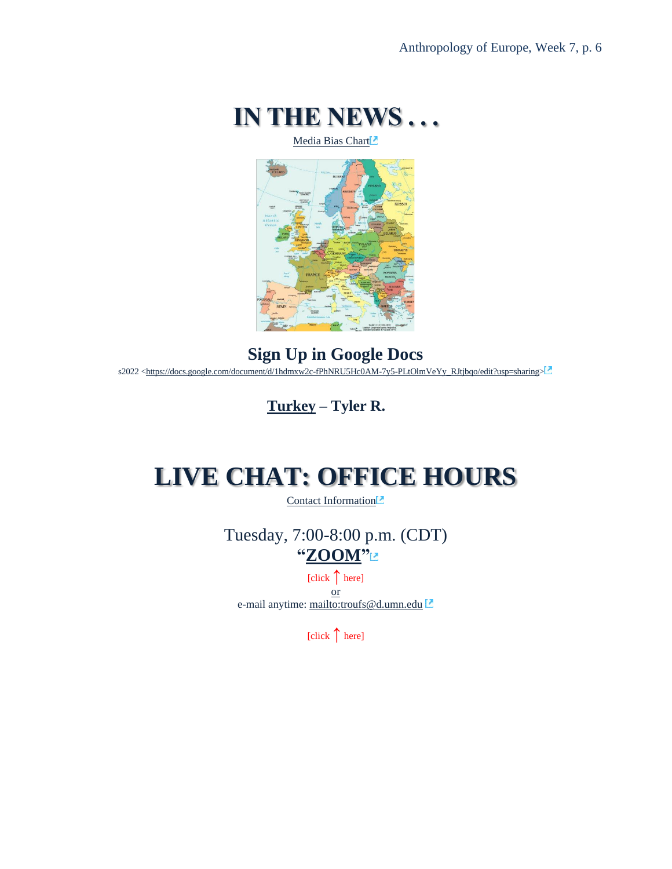

[Media Bias Chart](https://www.d.umn.edu/cla/faculty/troufs/anth4616/cpalternativefacts.html#mediabiaschart)

<span id="page-5-0"></span>

**Sign Up in Google Docs** s2022 [<https://docs.google.com/document/d/1hdmxw2c-fPhNRU5Hc0AM-7y5-PLtOlmVeYy\\_RJtjbqo/edit?usp=sharing>](https://docs.google.com/document/d/1hdmxw2c-fPhNRU5Hc0AM-7y5-PLtOlmVeYy_RJtjbqo/edit?usp=sharing)

**[Turkey](https://www.d.umn.edu/cla/faculty/troufs/anth1095/Turkey.html#project_sources) – Tyler R.**

### <span id="page-5-1"></span>**LIVE CHAT: OFFICE HOURS**

[Contact Information](http://www.d.umn.edu/cla/faculty/troufs/anth1602/pcoffice.html#title)<sup>[2]</sup>

Tuesday, 7:00-8:00 p.m. (CDT) **["ZOOM"](https://umn.zoom.us/my/troufs)**

[click **↑** here] or e-mail anytime: <mailto:troufs@d.umn.edu>

[click **↑** here]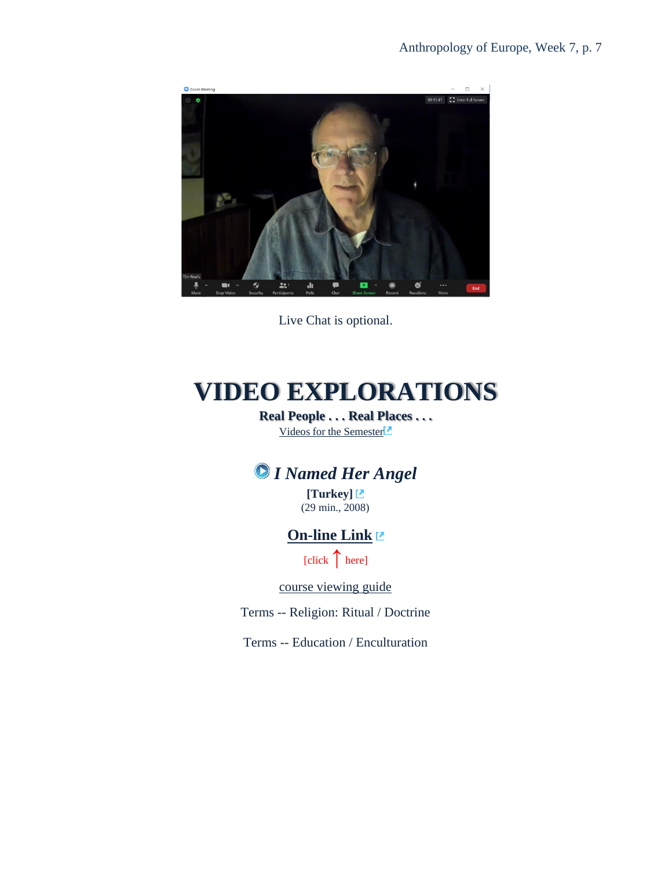

Live Chat is optional.

# <span id="page-6-1"></span><span id="page-6-0"></span>**VIDEO EXPLORATIONS**

**Real People . . . Real Places . . .** [Videos for the Semester](https://www.d.umn.edu/cla/faculty/troufs/anth3635/cevideo_schedule.html#title)<sup>1</sup>

### *I Named Her Angel*

**[Turkey]** (29 min., 2008)

#### **[On-line Link](https://search-alexanderstreet-com.libpdb.d.umn.edu:2443/view/work/bibliographic_entity|video_work|1664048)**

[click ↑here]

[course viewing guide](https://www.d.umn.edu/cla/faculty/troufs/anth1095/video/I%20Named%20Her%20Angel.html#title)

Terms -- Religion: Ritual / Doctrine

Terms -- Education / Enculturation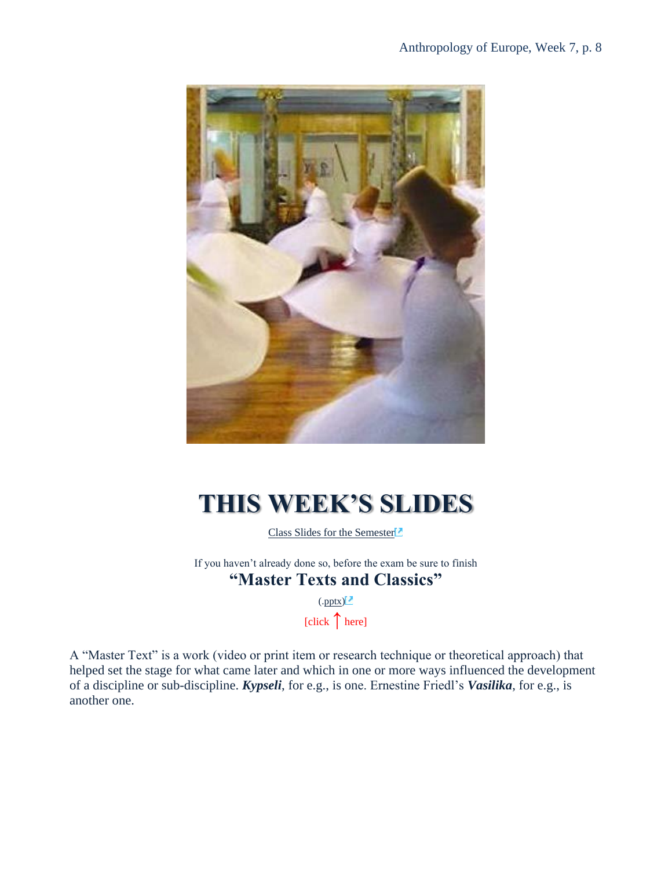

# <span id="page-7-0"></span>**THIS WEEK'S SLIDES**

[Class Slides for the Semester](https://www.d.umn.edu/cla/faculty/troufs/anth3635/ceslides.html#title)

If you haven't already done so, before the exam be sure to finish **"Master Texts and Classics"**

> $(\text{.pptx})^2$ [click **↑** here]

A "Master Text" is a work (video or print item or research technique or theoretical approach) that helped set the stage for what came later and which in one or more ways influenced the development of a discipline or sub-discipline. *Kypseli*, for e.g., is one. Ernestine Friedl's *Vasilika*, for e.g., is another one.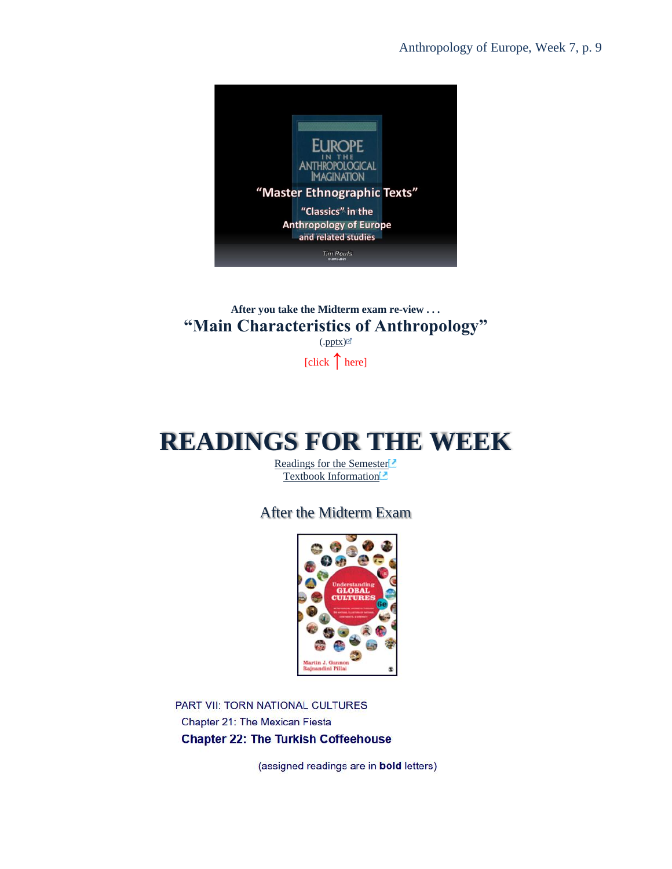

**After you take the Midterm exam re-view . . . "Main Characteristics of Anthropology"**  $(\text{.pptx})^{\odot}$ 

[click **↑** here]

# <span id="page-8-0"></span>**READINGS FOR THE WEEK**

[Readings for the Semester](https://www.d.umn.edu/cla/faculty/troufs/anth3635/ceread-s.html#title)<sup>[2]</sup> [Textbook Information](https://www.d.umn.edu/cla/faculty/troufs/anth3635/cetexts.html#title)

After the Midterm Exam



PART VII: TORN NATIONAL CULTURES Chapter 21: The Mexican Fiesta **Chapter 22: The Turkish Coffeehouse** 

(assigned readings are in bold letters)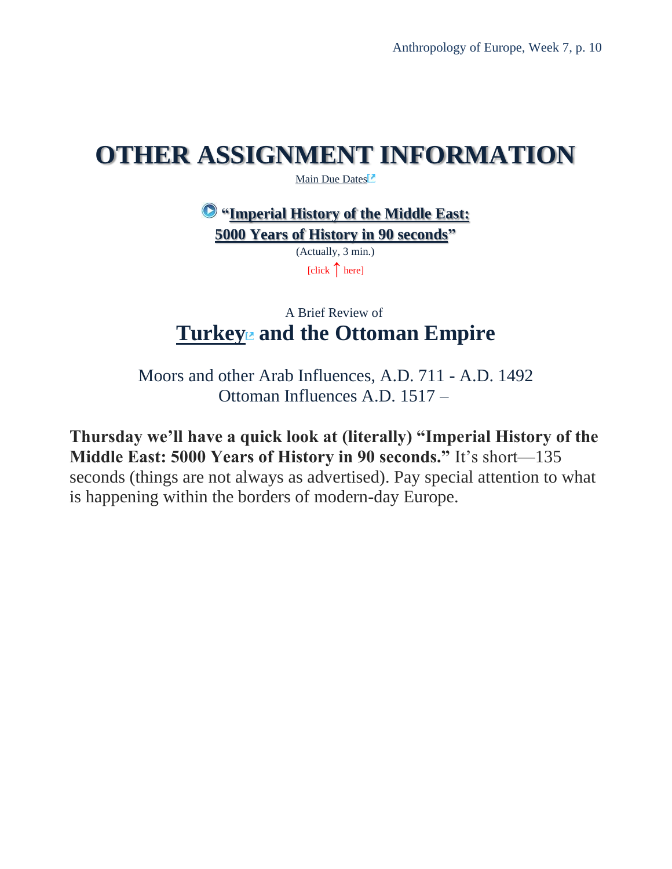## <span id="page-9-0"></span>**OTHER ASSIGNMENT INFORMATION**

[Main Due Dates](https://www.d.umn.edu/cla/faculty/troufs/anth3635/cedue-dates.html#title)<sup>12</sup>

**["Imperial History of the Middle East:](https://www.youtube.com/watch?v=2iVXPqnoC_A) [5000 Years of History in 90 seconds"](https://www.youtube.com/watch?v=2iVXPqnoC_A)**

> (Actually, 3 min.) [click **↑** here]

### A Brief Review of **[Turkey](http://www.d.umn.edu/cla/faculty/troufs/anth1095/Turkey.html#title) and the Ottoman Empire**

<span id="page-9-1"></span>Moors and other Arab Influences, A.D. 711 - A.D. 1492 Ottoman Influences A.D. 1517 –

**Thursday we'll have a quick look at (literally) "Imperial History of the Middle East: 5000 Years of History in 90 seconds."** It's short—135 seconds (things are not always as advertised). Pay special attention to what is happening within the borders of modern-day Europe.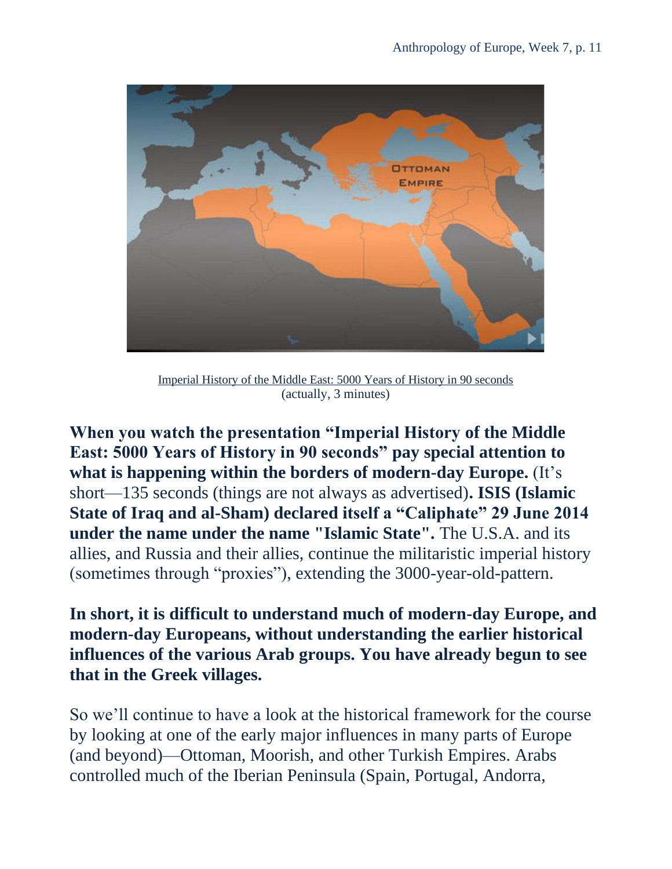

[Imperial History of the Middle East: 5000 Years of History in 90 seconds](http://www.mapsofwar.com/images/EMPIRE17.swf) (actually, 3 minutes)

**When you watch the presentation "Imperial History of the Middle East: 5000 Years of History in 90 seconds" pay special attention to what is happening within the borders of modern-day Europe.** (It's short—135 seconds (things are not always as advertised)**. ISIS (Islamic State of Iraq and al-Sham) declared itself a "Caliphate" 29 June 2014 under the name under the name "Islamic State".** The U.S.A. and its allies, and Russia and their allies, continue the militaristic imperial history (sometimes through "proxies"), extending the 3000-year-old-pattern.

**In short, it is difficult to understand much of modern-day Europe, and modern-day Europeans, without understanding the earlier historical influences of the various Arab groups. You have already begun to see that in the Greek villages.**

So we'll continue to have a look at the historical framework for the course by looking at one of the early major influences in many parts of Europe (and beyond)—Ottoman, Moorish, and other Turkish Empires. Arabs controlled much of the Iberian Peninsula (Spain, Portugal, Andorra,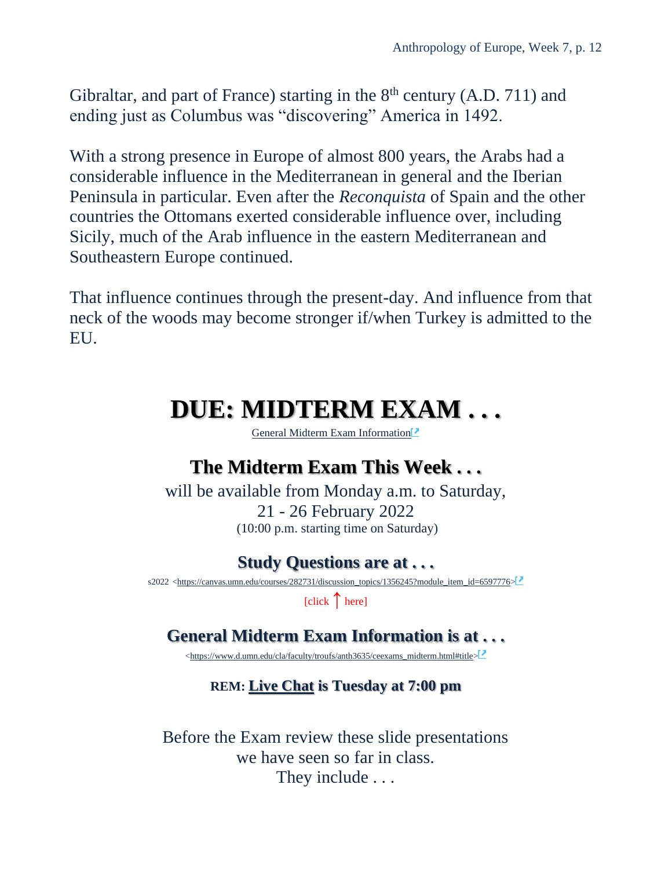Gibraltar, and part of France) starting in the  $8<sup>th</sup>$  century (A.D. 711) and ending just as Columbus was "discovering" America in 1492.

With a strong presence in Europe of almost 800 years, the Arabs had a considerable influence in the Mediterranean in general and the Iberian Peninsula in particular. Even after the *Reconquista* of Spain and the other countries the Ottomans exerted considerable influence over, including Sicily, much of the Arab influence in the eastern Mediterranean and Southeastern Europe continued.

<span id="page-11-0"></span>That influence continues through the present-day. And influence from that neck of the woods may become stronger if/when Turkey is admitted to the EU.

## **DUE: MIDTERM EXAM . . .**

[General Midterm Exam Information](https://www.d.umn.edu/cla/faculty/troufs/anth3635/ceexams_midterm.html#title)<sup>12</sup>

### **The Midterm Exam This Week . . .**

will be available from Monday a.m. to Saturday, 21 - 26 February 2022 (10:00 p.m. starting time on Saturday)

### **Study Questions are at . . .**

s2022 [<https://canvas.umn.edu/courses/282731/discussion\\_topics/1356245?module\\_item\\_id=6597776>](https://canvas.umn.edu/courses/282731/discussion_topics/1356245?module_item_id=6597776)

[click **↑** here]

### **General Midterm Exam Information is at . . .**

[<https://www.d.umn.edu/cla/faculty/troufs/anth3635/ceexams\\_midterm.html#title>](https://www.d.umn.edu/cla/faculty/troufs/anth3635/ceexams_midterm.html#title)

#### **REM: [Live Chat](#page-5-1) is Tuesday at 7:00 pm**

Before the Exam review these slide presentations we have seen so far in class. They include . . .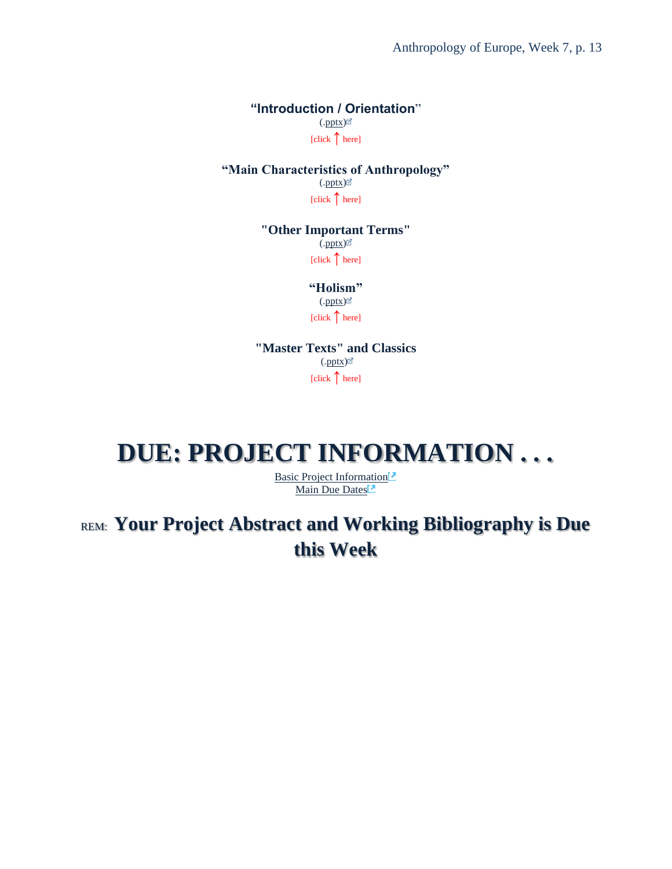Anthropology of Europe, Week 7, p. 13

**"Introduction / Orientation**"  $(\text{.pptx})$  $[click \n{\uparrow} here]$ 

**"Main Characteristics of Anthropology"** [\(.pptx\)](http://www.d.umn.edu/cla/faculty/troufs/anth3635/PowerPoint/ce-main_char_anth.pptx) [click ↑ here]

> **"Other Important Terms"**  $\int$ [\(.pptx\)](http://www.d.umn.edu/cla/faculty/troufs/anth3635/PowerPoint/ce-terms.pptx) $\mathbb{Z}$  $\left[\text{click}\right]$  here]

> > **"Holism"** [\(.pptx\)](https://www.d.umn.edu/cla/faculty/troufs/anthfood/PowerPoint/af-holism.pptx) [click ↑ here]

**"Master Texts" and Classics**  $(\text{.pptx})^{\odot}$  $[click \uparrow here]$ 

## <span id="page-12-0"></span>**DUE: PROJECT INFORMATION . . .**

[Basic Project Information](https://www.d.umn.edu/cla/faculty/troufs/anth3635/ceproject.html#title) [Main Due Dates](https://www.d.umn.edu/cla/faculty/troufs/anth3635/cedue-dates.html#title)

REM: **Your Project Abstract and Working Bibliography is Due this Week**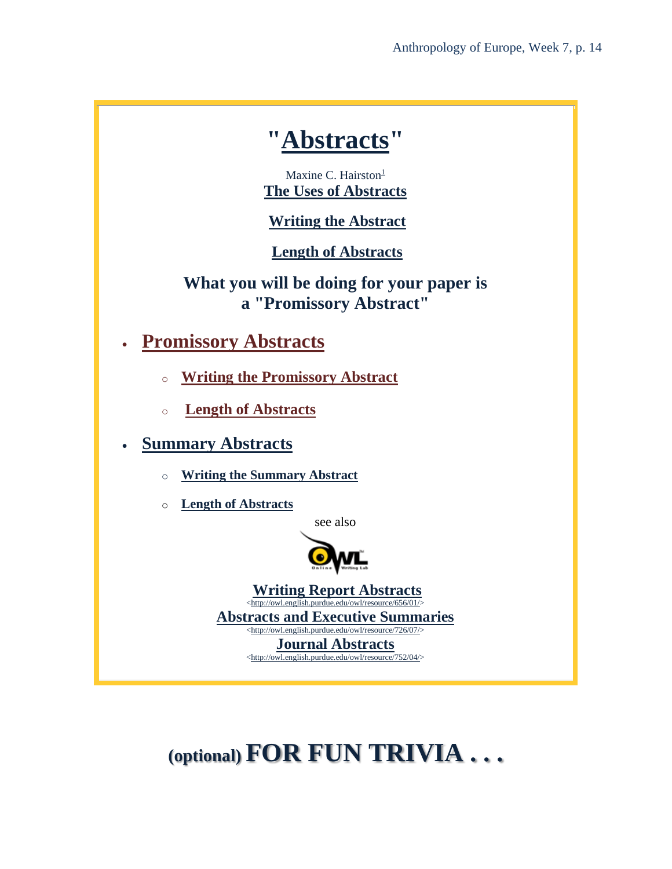### **["Abstracts"](http://www.d.umn.edu/cla/faculty/troufs/comp3160/Hairston.abstracts.html#title)**

Maxi[n](http://www.d.umn.edu/cla/faculty/troufs/comp3160/Hairston.abstracts.html#N_1_)e C. Hairston<sup>1</sup> **[The Uses of Abstracts](http://www.d.umn.edu/cla/faculty/troufs/comp3160/Hairston.abstracts.html#uses)**

**[Writing the Abstract](http://www.d.umn.edu/cla/faculty/troufs/comp3160/Hairston.abstracts.html#writing)**

**[Length of Abstracts](http://www.d.umn.edu/cla/faculty/troufs/comp3160/Hairston.abstracts.html#length)**

**What you will be doing for your paper is a "Promissory Abstract"**

- **[Promissory Abstracts](http://www.d.umn.edu/cla/faculty/troufs/comp3160/Hairston.abstracts.html#promissory)**
	- o **[Writing the Promissory Abstract](http://www.d.umn.edu/cla/faculty/troufs/comp3160/Hairston.abstracts.html#writing_promissory)**
	- o **[Length of Abstracts](http://www.d.umn.edu/cla/faculty/troufs/comp3160/Hairston.abstracts.html#length)**
- **[Summary Abstracts](http://www.d.umn.edu/cla/faculty/troufs/comp3160/Hairston.abstracts.html#summary)**
	- o **[Writing the Summary Abstract](http://www.d.umn.edu/cla/faculty/troufs/comp3160/Hairston.abstracts.html#writing_summary)**
	- o **[Length of Abstracts](http://www.d.umn.edu/cla/faculty/troufs/comp3160/Hairston.abstracts.html#length)**

[see also](http://owl.english.purdue.edu/owl/)



**[Writing Report Abstracts](http://owl.english.purdue.edu/owl/resource/656/01/)** [<http://owl.english.purdue.edu/owl/resource/656/01/>](http://owl.english.purdue.edu/owl/resource/656/01/) **[Abstracts and Executive Summaries](http://owl.english.purdue.edu/owl/resource/726/07/)** [<http://owl.english.purdue.edu/owl/resource/726/07/>](http://owl.english.purdue.edu/owl/resource/726/07/)

**[Journal Abstracts](http://owl.english.purdue.edu/owl/resource/752/04/)** [<http://owl.english.purdue.edu/owl/resource/752/04/>](http://owl.english.purdue.edu/owl/resource/752/04/)

# **(optional) FOR FUN TRIVIA . . .**